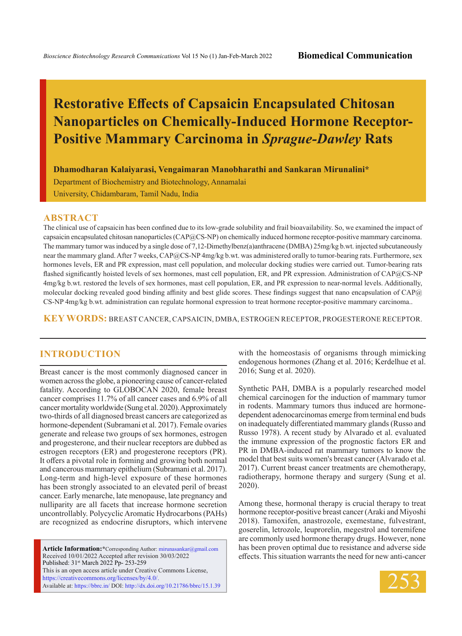# **Restorative Effects of Capsaicin Encapsulated Chitosan Nanoparticles on Chemically-Induced Hormone Receptor-Positive Mammary Carcinoma in** *Sprague-Dawley* **Rats**

**Dhamodharan Kalaiyarasi, Vengaimaran Manobharathi and Sankaran Mirunalini\***

Department of Biochemistry and Biotechnology, Annamalai University, Chidambaram, Tamil Nadu, India

#### **ABSTRACT**

The clinical use of capsaicin has been confined due to its low-grade solubility and frail bioavailability. So, we examined the impact of capsaicin encapsulated chitosan nanoparticles (CAP@CS-NP) on chemically induced hormone receptor-positive mammary carcinoma. The mammary tumor was induced by a single dose of 7,12-Dimethylbenz(a)anthracene (DMBA) 25mg/kg b.wt. injected subcutaneously near the mammary gland. After 7 weeks, CAP@CS-NP 4mg/kg b.wt. was administered orally to tumor-bearing rats. Furthermore, sex hormones levels, ER and PR expression, mast cell population, and molecular docking studies were carried out. Tumor-bearing rats flashed significantly hoisted levels of sex hormones, mast cell population, ER, and PR expression. Administration of CAP@CS-NP 4mg/kg b.wt. restored the levels of sex hormones, mast cell population, ER, and PR expression to near-normal levels. Additionally, molecular docking revealed good binding affinity and best glide scores. These findings suggest that nano encapsulation of CAP@ CS-NP 4mg/kg b.wt. administration can regulate hormonal expression to treat hormone receptor-positive mammary carcinoma..

**KEY WORDS:** BREAST CANCER, CAPSAICIN, DMBA, ESTROGEN RECEPTOR, PROGESTERONE RECEPTOR.

#### **INTRODUCTION**

Breast cancer is the most commonly diagnosed cancer in women across the globe, a pioneering cause of cancer-related fatality. According to GLOBOCAN 2020, female breast cancer comprises 11.7% of all cancer cases and 6.9% of all cancer mortality worldwide (Sung et al. 2020). Approximately two-thirds of all diagnosed breast cancers are categorized as hormone-dependent (Subramani et al. 2017). Female ovaries generate and release two groups of sex hormones, estrogen and progesterone, and their nuclear receptors are dubbed as estrogen receptors (ER) and progesterone receptors (PR). It offers a pivotal role in forming and growing both normal and cancerous mammary epithelium (Subramani et al. 2017). Long-term and high-level exposure of these hormones has been strongly associated to an elevated peril of breast cancer. Early menarche, late menopause, late pregnancy and nulliparity are all facets that increase hormone secretion uncontrollably. Polycyclic Aromatic Hydrocarbons (PAHs) are recognized as endocrine disruptors, which intervene

**Article Information:\***Corresponding Author: mirunasankar@gmail.com Received 10/01/2022 Accepted after revision 30/03/2022 Published: 31st March 2022 Pp- 253-259 This is an open access article under Creative Commons License, https://creativecommons.org/licenses/by/4.0/. Available at: https://bbrc.in/ DOI: http://dx.doi.org/10.21786/bbrc/15.1.39 with the homeostasis of organisms through mimicking endogenous hormones (Zhang et al. 2016; Kerdelhue et al. 2016; Sung et al. 2020).

Synthetic PAH, DMBA is a popularly researched model chemical carcinogen for the induction of mammary tumor in rodents. Mammary tumors thus induced are hormonedependent adenocarcinomas emerge from terminal end buds on inadequately differentiated mammary glands (Russo and Russo 1978). A recent study by Alvarado et al. evaluated the immune expression of the prognostic factors ER and PR in DMBA-induced rat mammary tumors to know the model that best suits women's breast cancer (Alvarado et al. 2017). Current breast cancer treatments are chemotherapy, radiotherapy, hormone therapy and surgery (Sung et al. 2020).

Among these, hormonal therapy is crucial therapy to treat hormone receptor-positive breast cancer (Araki and Miyoshi 2018). Tamoxifen, anastrozole, exemestane, fulvestrant, goserelin, letrozole, leuprorelin, megestrol and toremifene are commonly used hormone therapy drugs. However, none has been proven optimal due to resistance and adverse side effects. This situation warrants the need for new anti-cancer

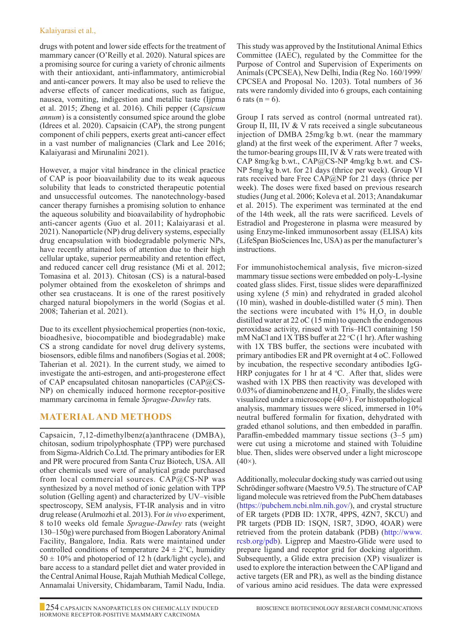#### Kalaiyarasi et al.,

drugs with potent and lower side effects for the treatment of mammary cancer (O'Reilly et al. 2020). Natural spices are a promising source for curing a variety of chronic ailments with their antioxidant, anti-inflammatory, antimicrobial and anti-cancer powers. It may also be used to relieve the adverse effects of cancer medications, such as fatigue, nausea, vomiting, indigestion and metallic taste (Ijpma et al. 2015; Zheng et al. 2016). Chili pepper (*Capsicum annum*) is a consistently consumed spice around the globe (Idrees et al. 2020). Capsaicin (CAP), the strong pungent component of chili peppers, exerts great anti-cancer effect in a vast number of malignancies (Clark and Lee 2016; Kalaiyarasi and Mirunalini 2021).

However, a major vital hindrance in the clinical practice of CAP is poor bioavailability due to its weak aqueous solubility that leads to constricted therapeutic potential and unsuccessful outcomes. The nanotechnology-based cancer therapy furnishes a promising solution to enhance the aqueous solubility and bioavailability of hydrophobic anti-cancer agents (Guo et al. 2011; Kalaiyarasi et al. 2021). Nanoparticle (NP) drug delivery systems, especially drug encapsulation with biodegradable polymeric NPs, have recently attained lots of attention due to their high cellular uptake, superior permeability and retention effect, and reduced cancer cell drug resistance (Mi et al. 2012; Tomasina et al. 2013). Chitosan (CS) is a natural-based polymer obtained from the exoskeleton of shrimps and other sea crustaceans. It is one of the rarest positively charged natural biopolymers in the world (Sogias et al. 2008; Taherian et al. 2021).

Due to its excellent physiochemical properties (non-toxic, bioadhesive, biocompatible and biodegradable) make CS a strong candidate for novel drug delivery systems, biosensors, edible films and nanofibers (Sogias et al. 2008; Taherian et al. 2021). In the current study, we aimed to investigate the anti-estrogen, and anti-progesterone effect of CAP encapsulated chitosan nanoparticles (CAP@CS-NP) on chemically induced hormone receptor-positive mammary carcinoma in female *Sprague-Dawley* rats.

# **Material and Methods**

Capsaicin, 7,12-dimethylbenz(a)anthracene (DMBA), chitosan, sodium tripolyphosphate (TPP) were purchased from Sigma-Aldrich Co.Ltd. The primary antibodies for ER and PR were procured from Santa Cruz Biotech, USA. All other chemicals used were of analytical grade purchased from local commercial sources. CAP@CS-NP was synthesized by a novel method of ionic gelation with TPP solution (Gelling agent) and characterized by UV–visible spectroscopy, SEM analysis, FT-IR analysis and in vitro drug release (Arulmozhi et al. 2013). For *in vivo* experiment, 8 to10 weeks old female *Sprague-Dawley* rats (weight 130–150g) were purchased from Biogen Laboratory Animal Facility, Bangalore, India. Rats were maintained under controlled conditions of temperature  $24 \pm 2$ °C, humidity  $50 \pm 10\%$  and photoperiod of 12 h (dark/light cycle), and bare access to a standard pellet diet and water provided in the Central Animal House, Rajah Muthiah Medical College, Annamalai University, Chidambaram, Tamil Nadu, India. This study was approved by the Institutional Animal Ethics Committee (IAEC), regulated by the Committee for the Purpose of Control and Supervision of Experiments on Animals (CPCSEA), New Delhi, India (Reg No. 160/1999/ CPCSEA and Proposal No. 1203). Total numbers of 36 rats were randomly divided into 6 groups, each containing 6 rats ( $n = 6$ ).

Group I rats served as control (normal untreated rat). Group II, III, IV & V rats received a single subcutaneous injection of DMBA 25mg/kg b.wt. (near the mammary gland) at the first week of the experiment. After 7 weeks, the tumor-bearing groups III, IV & V rats were treated with CAP 8mg/kg b.wt., CAP@CS-NP 4mg/kg b.wt. and CS-NP 5mg/kg b.wt. for 21 days (thrice per week). Group VI rats received bare Free CAP@NP for 21 days (thrice per week). The doses were fixed based on previous research studies (Jung et al. 2006; Koleva et al. 2013; Anandakumar et al. 2015). The experiment was terminated at the end of the 14th week, all the rats were sacrificed. Levels of Estradiol and Progesterone in plasma were measured by using Enzyme-linked immunosorbent assay (ELISA) kits (LifeSpan BioSciences Inc, USA) as per the manufacturer's instructions.

For immunohistochemical analysis, five micron-sized mammary tissue sections were embedded on poly-L-lysine coated glass slides. First, tissue slides were deparaffinized using xylene (5 min) and rehydrated in graded alcohol (10 min), washed in double-distilled water (5 min). Then the sections were incubated with  $1\%$   $H_2O_2$  in double distilled water at 22 oC (15 min) to quench the endogenous peroxidase activity, rinsed with Tris–HCl containing 150 mM NaCl and 1X TBS buffer at 22 °C (1 hr). After washing with 1X TBS buffer, the sections were incubated with primary antibodies ER and PR overnight at 4 oC. Followed by incubation, the respective secondary antibodies IgG-HRP conjugates for 1 hr at  $4^{\circ}$ C. After that, slides were washed with 1X PBS then reactivity was developed with 0.03% of diaminobenzene and  $H_2O_2$ . Finally, the slides were visualized under a microscope (40×). For histopathological analysis, mammary tissues were sliced, immersed in 10% neutral buffered formalin for fixation, dehydrated with graded ethanol solutions, and then embedded in paraffin. Paraffin-embedded mammary tissue sections  $(3-5 \mu m)$ were cut using a microtome and stained with Toluidine blue. Then, slides were observed under a light microscope  $(40\times).$ 

Additionally, molecular docking study was carried out using Schrödinger software (Maestro V9.5). The structure of CAP ligand molecule was retrieved from the PubChem databases (https://pubchem.ncbi.nlm.nih.gov/), and crystal structure of ER targets (PDB ID: 1X7R, 4PPS, 4ZN7, 5KCU) and PR targets (PDB ID: 1SQN, 1SR7, 3D9O, 4OAR) were retrieved from the protein databank (PDB) (http://www. rcsb.org/pdb). Ligprep and Maestro-Glide were used to prepare ligand and receptor grid for docking algorithm. Subsequently, a Glide extra precision (XP) visualizer is used to explore the interaction between the CAP ligand and active targets (ER and PR), as well as the binding distance of various amino acid residues. The data were expressed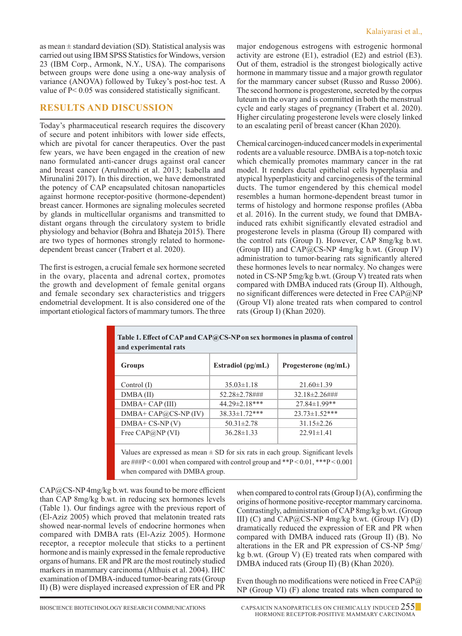as mean  $\pm$  standard deviation (SD). Statistical analysis was carried out using IBM SPSS Statistics for Windows, version 23 (IBM Corp., Armonk, N.Y., USA). The comparisons between groups were done using a one-way analysis of variance (ANOVA) followed by Tukey's post-hoc test. A value of P< 0.05 was considered statistically significant.

### **Results and Discussion**

Today's pharmaceutical research requires the discovery of secure and potent inhibitors with lower side effects, which are pivotal for cancer therapeutics. Over the past few years, we have been engaged in the creation of new nano formulated anti-cancer drugs against oral cancer and breast cancer (Arulmozhi et al. 2013; Isabella and Mirunalini 2017). In this direction, we have demonstrated the potency of CAP encapsulated chitosan nanoparticles against hormone receptor-positive (hormone-dependent) breast cancer. Hormones are signaling molecules secreted by glands in multicellular organisms and transmitted to distant organs through the circulatory system to bridle physiology and behavior (Bohra and Bhateja 2015). There are two types of hormones strongly related to hormonedependent breast cancer (Trabert et al. 2020).

The first is estrogen, a crucial female sex hormone secreted in the ovary, placenta and adrenal cortex, promotes the growth and development of female genital organs and female secondary sex characteristics and triggers endometrial development. It is also considered one of the important etiological factors of mammary tumors. The three major endogenous estrogens with estrogenic hormonal activity are estrone (E1), estradiol (E2) and estriol (E3). Out of them, estradiol is the strongest biologically active hormone in mammary tissue and a major growth regulator for the mammary cancer subset (Russo and Russo 2006). The second hormone is progesterone, secreted by the corpus luteum in the ovary and is committed in both the menstrual cycle and early stages of pregnancy (Trabert et al. 2020). Higher circulating progesterone levels were closely linked to an escalating peril of breast cancer (Khan 2020).

Chemical carcinogen-induced cancer models in experimental rodents are a valuable resource. DMBA is a top-notch toxic which chemically promotes mammary cancer in the rat model. It renders ductal epithelial cells hyperplasia and atypical hyperplasticity and carcinogenesis of the terminal ducts. The tumor engendered by this chemical model resembles a human hormone-dependent breast tumor in terms of histology and hormone response profiles (Abba et al. 2016). In the current study, we found that DMBAinduced rats exhibit significantly elevated estradiol and progesterone levels in plasma (Group II) compared with the control rats (Group I). However, CAP 8mg/kg b.wt. (Group III) and CAP@CS-NP 4mg/kg b.wt. (Group IV) administration to tumor-bearing rats significantly altered these hormones levels to near normalcy. No changes were noted in CS-NP 5mg/kg b.wt. (Group V) treated rats when compared with DMBA induced rats (Group II). Although, no significant differences were detected in Free CAP@NP (Group VI) alone treated rats when compared to control rats (Group I) (Khan 2020).

| $35.03 \pm 1.18$<br>52.28±2.78###<br>44.29±2.18*** | $21.60 \pm 1.39$<br>32.18±2.26###<br>$27.84 \pm 1.99**$                                      |
|----------------------------------------------------|----------------------------------------------------------------------------------------------|
|                                                    |                                                                                              |
|                                                    |                                                                                              |
|                                                    |                                                                                              |
| 38.33±1.72***                                      | 23.73±1.52***                                                                                |
| $50.31 \pm 2.78$                                   | $31.15 \pm 2.26$                                                                             |
| $36.28 \pm 1.33$                                   | $22.91 \pm 1.41$                                                                             |
|                                                    | Values are expressed as mean $\pm$ SD for six rats in each group. Significant levels         |
|                                                    | are $\# \# \mathbb{P}$ < 0.001 when compared with control group and **P < 0.01, ***P < 0.001 |
|                                                    | when compared with DMBA group.                                                               |

CAP@CS-NP 4mg/kg b.wt. was found to be more efficient than CAP 8mg/kg b.wt. in reducing sex hormones levels (Table 1). Our findings agree with the previous report of (El‐Aziz 2005) which proved that melatonin treated rats showed near-normal levels of endocrine hormones when compared with DMBA rats (El‐Aziz 2005). Hormone receptor, a receptor molecule that sticks to a pertinent hormone and is mainly expressed in the female reproductive organs of humans. ER and PR are the most routinely studied markers in mammary carcinoma (Althuis et al. 2004). IHC examination of DMBA-induced tumor-bearing rats (Group II) (B) were displayed increased expression of ER and PR

when compared to control rats (Group I)  $(A)$ , confirming the origins of hormone positive-receptor mammary carcinoma. Contrastingly, administration of CAP 8mg/kg b.wt. (Group III) (C) and  $CAP@CS-NP$  4mg/kg b.wt. (Group IV) (D) dramatically reduced the expression of ER and PR when compared with DMBA induced rats (Group II) (B). No alterations in the ER and PR expression of CS-NP 5mg/ kg b.wt. (Group V) (E) treated rats when compared with DMBA induced rats (Group II) (B) (Khan 2020).

Even though no modifications were noticed in Free CAP $\omega$ NP (Group VI) (F) alone treated rats when compared to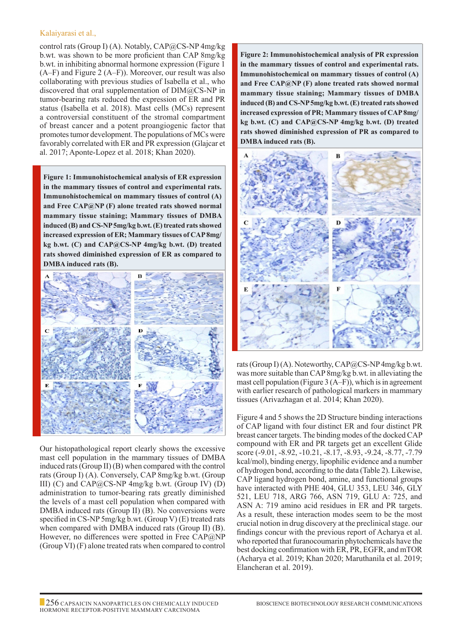#### Kalaiyarasi et al.,

control rats (Group I) (A). Notably, CAP@CS-NP 4mg/kg b.wt. was shown to be more proficient than CAP 8mg/kg b.wt. in inhibiting abnormal hormone expression (Figure 1 (A–F) and Figure 2 (A–F)). Moreover, our result was also collaborating with previous studies of Isabella et al., who discovered that oral supplementation of  $\text{DIM}(\partial\text{C}S\text{-NP}$  in tumor-bearing rats reduced the expression of ER and PR status (Isabella et al. 2018). Mast cells (MCs) represent a controversial constituent of the stromal compartment of breast cancer and a potent proangiogenic factor that promotes tumor development. The populations of MCs were favorably correlated with ER and PR expression (Glajcar et al. 2017; Aponte-Lopez et al. 2018; Khan 2020).

**Figure 1: Immunohistochemical analysis of ER expression in the mammary tissues of control and experimental rats. Immunohistochemical on mammary tissues of control (A) and Free CAP@NP (F) alone treated rats showed normal mammary tissue staining; Mammary tissues of DMBA induced (B) and CS-NP 5mg/kg b.wt. (E) treated rats showed increased expression of ER; Mammary tissues of CAP 8mg/ kg b.wt. (C) and CAP@CS-NP 4mg/kg b.wt. (D) treated rats showed diminished expression of ER as compared to DMBA induced rats (B).**



Our histopathological report clearly shows the excessive mast cell population in the mammary tissues of DMBA induced rats (Group II) (B) when compared with the control rats (Group I) (A). Conversely, CAP 8mg/kg b.wt. (Group III) (C) and CAP@CS-NP 4mg/kg b.wt. (Group IV) (D) administration to tumor-bearing rats greatly diminished the levels of a mast cell population when compared with DMBA induced rats (Group II) (B). No conversions were specified in CS-NP 5mg/kg b.wt. (Group V) (E) treated rats when compared with DMBA induced rats (Group II) (B). However, no differences were spotted in Free CAP@NP (Group VI) (F) alone treated rats when compared to control

**Figure 2: Immunohistochemical analysis of PR expression in the mammary tissues of control and experimental rats. Immunohistochemical on mammary tissues of control (A) and Free CAP@NP (F) alone treated rats showed normal mammary tissue staining; Mammary tissues of DMBA induced (B) and CS-NP 5mg/kg b.wt. (E) treated rats showed increased expression of PR; Mammary tissues of CAP 8mg/ kg b.wt. (C) and CAP@CS-NP 4mg/kg b.wt. (D) treated rats showed diminished expression of PR as compared to DMBA induced rats (B).**



rats (Group I) (A). Noteworthy,  $CAP@CS-NP\4mg/kg$  b.wt. was more suitable than CAP 8mg/kg b.wt. in alleviating the mast cell population (Figure 3 (A–F)), which is in agreement with earlier research of pathological markers in mammary tissues (Arivazhagan et al. 2014; Khan 2020).

Figure 4 and 5 shows the 2D Structure binding interactions of CAP ligand with four distinct ER and four distinct PR breast cancer targets. The binding modes of the docked CAP compound with ER and PR targets get an excellent Glide score (-9.01, -8.92, -10.21, -8.17, -8.93, -9.24, -8.77, -7.79 kcal/mol), binding energy, lipophilic evidence and a number of hydrogen bond, according to the data (Table 2). Likewise, CAP ligand hydrogen bond, amine, and functional groups have interacted with PHE 404, GLU 353, LEU 346, GLY 521, LEU 718, ARG 766, ASN 719, GLU A: 725, and ASN A: 719 amino acid residues in ER and PR targets. As a result, these interaction modes seem to be the most crucial notion in drug discovery at the preclinical stage. our findings concur with the previous report of Acharya et al. who reported that furanocoumarin phytochemicals have the best docking confirmation with ER, PR, EGFR, and mTOR (Acharya et al. 2019; Khan 2020; Maruthanila et al. 2019; Elancheran et al. 2019).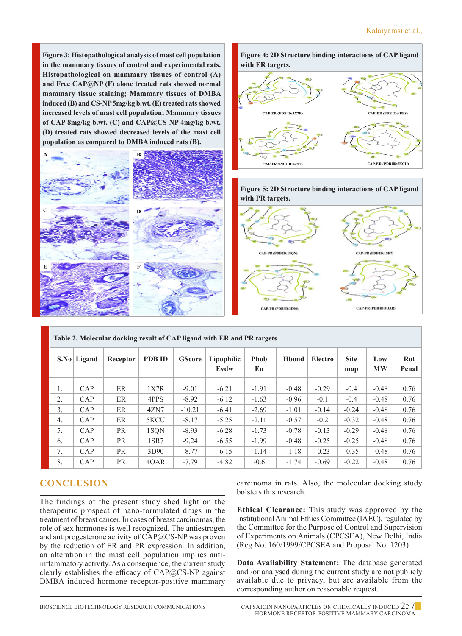**Figure 3: Histopathological analysis of mast cell population in the mammary tissues of control and experimental rats. Histopathological on mammary tissues of control (A) and Free CAP@NP (F) alone treated rats showed normal mammary tissue staining; Mammary tissues of DMBA induced (B) and CS-NP 5mg/kg b.wt. (E) treated rats showed increased levels of mast cell population; Mammary tissues of CAP 8mg/kg b.wt. (C) and CAP@CS-NP 4mg/kg b.wt. (D) treated rats showed decreased levels of the mast cell population as compared to DMBA induced rats (B).**









| Table 2. Molecular docking result of CAP ligand with ER and PR targets |             |           |               |               |                    |                   |               |         |                    |                  |              |  |
|------------------------------------------------------------------------|-------------|-----------|---------------|---------------|--------------------|-------------------|---------------|---------|--------------------|------------------|--------------|--|
|                                                                        | S.No Ligand | Receptor  | <b>PDB ID</b> | <b>GScore</b> | Lipophilic<br>Evdw | <b>Phob</b><br>En | <b>H</b> bond | Electro | <b>Site</b><br>map | Low<br><b>MW</b> | Rot<br>Penal |  |
| 1.                                                                     | CAP         | ER        | 1X7R          | $-9.01$       | $-6.21$            | $-1.91$           | $-0.48$       | $-0.29$ | $-0.4$             | $-0.48$          | 0.76         |  |
| 2.                                                                     | CAP         | ER        | 4PPS          | $-8.92$       | $-6.12$            | $-1.63$           | $-0.96$       | $-0.1$  | $-0.4$             | $-0.48$          | 0.76         |  |
| 3.                                                                     | CAP         | ER        | 4ZN7          | $-10.21$      | $-6.41$            | $-2.69$           | $-1.01$       | $-0.14$ | $-0.24$            | $-0.48$          | 0.76         |  |
| 4.                                                                     | CAP         | ER        | 5KCU          | $-8.17$       | $-5.25$            | $-2.11$           | $-0.57$       | $-0.2$  | $-0.32$            | $-0.48$          | 0.76         |  |
| 5.                                                                     | CAP         | <b>PR</b> | 1SON          | $-8.93$       | $-6.28$            | $-1.73$           | $-0.78$       | $-0.13$ | $-0.29$            | $-0.48$          | 0.76         |  |
| 6.                                                                     | CAP         | <b>PR</b> | 1SR7          | $-9.24$       | $-6.55$            | $-1.99$           | $-0.48$       | $-0.25$ | $-0.25$            | $-0.48$          | 0.76         |  |
| 7.                                                                     | CAP         | <b>PR</b> | 3D90          | $-8.77$       | $-6.15$            | $-1.14$           | $-1.18$       | $-0.23$ | $-0.35$            | $-0.48$          | 0.76         |  |
| 8.                                                                     | CAP         | <b>PR</b> | 40AR          | $-7.79$       | $-4.82$            | $-0.6$            | $-1.74$       | $-0.69$ | $-0.22$            | $-0.48$          | 0.76         |  |

# **Conclusion**

The findings of the present study shed light on the therapeutic prospect of nano-formulated drugs in the treatment of breast cancer. In cases of breast carcinomas, the role of sex hormones is well recognized. The antiestrogen and antiprogesterone activity of CAP@CS-NP was proven by the reduction of ER and PR expression. In addition, an alteration in the mast cell population implies antiinflammatory activity. As a consequence, the current study clearly establishes the efficacy of CAP@CS-NP against DMBA induced hormone receptor-positive mammary

carcinoma in rats. Also, the molecular docking study bolsters this research.

**Ethical Clearance:** This study was approved by the Institutional Animal Ethics Committee (IAEC), regulated by the Committee for the Purpose of Control and Supervision of Experiments on Animals (CPCSEA), New Delhi, India (Reg No. 160/1999/CPCSEA and Proposal No. 1203)

**Data Availability Statement:** The database generated and /or analysed during the current study are not publicly available due to privacy, but are available from the corresponding author on reasonable request.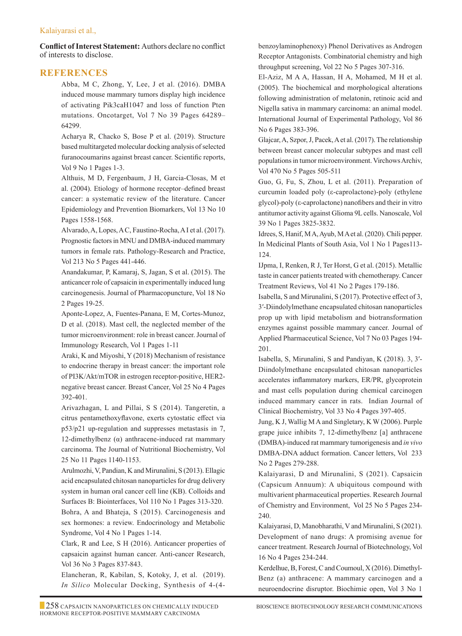#### Kalaiyarasi et al.,

**Conflict of Interest Statement:** Authors declare no conflict of interests to disclose.

## **References**

Abba, M C, Zhong, Y, Lee, J et al. (2016). DMBA induced mouse mammary tumors display high incidence of activating Pik3caH1047 and loss of function Pten mutations. Oncotarget, Vol 7 No 39 Pages 64289– 64299.

Acharya R, Chacko S, Bose P et al. (2019). Structure based multitargeted molecular docking analysis of selected furanocoumarins against breast cancer. Scientific reports, Vol 9 No 1 Pages 1-3.

Althuis, M D, Fergenbaum, J H, Garcia-Closas, M et al. (2004). Etiology of hormone receptor–defined breast cancer: a systematic review of the literature. Cancer Epidemiology and Prevention Biomarkers, Vol 13 No 10 Pages 1558-1568.

Alvarado, A, Lopes, A C, Faustino-Rocha, A I et al. (2017). Prognostic factors in MNU and DMBA-induced mammary tumors in female rats. Pathology-Research and Practice, Vol 213 No 5 Pages 441-446.

Anandakumar, P, Kamaraj, S, Jagan, S et al. (2015). The anticancer role of capsaicin in experimentally induced lung carcinogenesis. Journal of Pharmacopuncture, Vol 18 No 2 Pages 19-25.

Aponte-Lopez, A, Fuentes-Panana, E M, Cortes-Munoz, D et al. (2018). Mast cell, the neglected member of the tumor microenvironment: role in breast cancer. Journal of Immunology Research, Vol 1 Pages 1-11

Araki, K and Miyoshi, Y (2018) Mechanism of resistance to endocrine therapy in breast cancer: the important role of PI3K/Akt/mTOR in estrogen receptor-positive, HER2 negative breast cancer. Breast Cancer, Vol 25 No 4 Pages 392-401.

Arivazhagan, L and Pillai, S S (2014). Tangeretin, a citrus pentamethoxyflavone, exerts cytostatic effect via p53/p21 up-regulation and suppresses metastasis in 7, 12-dimethylbenz (α) anthracene-induced rat mammary carcinoma. The Journal of Nutritional Biochemistry, Vol 25 No 11 Pages 1140-1153.

Arulmozhi, V, Pandian, K and Mirunalini, S (2013). Ellagic acid encapsulated chitosan nanoparticles for drug delivery system in human oral cancer cell line (KB). Colloids and Surfaces B: Biointerfaces, Vol 110 No 1 Pages 313-320. Bohra, A and Bhateja, S (2015). Carcinogenesis and sex hormones: a review. Endocrinology and Metabolic Syndrome, Vol 4 No 1 Pages 1-14.

Clark, R and Lee, S H (2016). Anticancer properties of capsaicin against human cancer. Anti-cancer Research, Vol 36 No 3 Pages 837-843.

Elancheran, R, Kabilan, S, Kotoky, J, et al. (2019). *In Silico* Molecular Docking, Synthesis of 4-(4benzoylaminophenoxy) Phenol Derivatives as Androgen Receptor Antagonists. Combinatorial chemistry and high throughput screening, Vol 22 No 5 Pages 307-316.

El‐Aziz, M A A, Hassan, H A, Mohamed, M H et al. (2005). The biochemical and morphological alterations following administration of melatonin, retinoic acid and Nigella sativa in mammary carcinoma: an animal model. International Journal of Experimental Pathology, Vol 86 No 6 Pages 383-396.

Glajcar, A, Szpor, J, Pacek, A et al. (2017). The relationship between breast cancer molecular subtypes and mast cell populations in tumor microenvironment. Virchows Archiv, Vol 470 No 5 Pages 505-511

Guo, G, Fu, S, Zhou, L et al. (2011). Preparation of curcumin loaded poly (ε-caprolactone)-poly (ethylene glycol)-poly (ε-caprolactone) nanofibers and their in vitro antitumor activity against Glioma 9L cells. Nanoscale, Vol 39 No 1 Pages 3825-3832.

Idrees, S, Hanif, M A, Ayub, M A et al. (2020). Chili pepper. In Medicinal Plants of South Asia, Vol 1 No 1 Pages113- 124.

IJpma, I, Renken, R J, Ter Horst, G et al. (2015). Metallic taste in cancer patients treated with chemotherapy. Cancer Treatment Reviews, Vol 41 No 2 Pages 179-186.

Isabella, S and Mirunalini, S (2017). Protective effect of 3, 3′-Diindolylmethane encapsulated chitosan nanoparticles prop up with lipid metabolism and biotransformation enzymes against possible mammary cancer. Journal of Applied Pharmaceutical Science, Vol 7 No 03 Pages 194- 201.

Isabella, S, Mirunalini, S and Pandiyan, K (2018). 3, 3′- Diindolylmethane encapsulated chitosan nanoparticles accelerates inflammatory markers, ER/PR, glycoprotein and mast cells population during chemical carcinogen induced mammary cancer in rats. Indian Journal of Clinical Biochemistry, Vol 33 No 4 Pages 397-405.

Jung, K J, Wallig M A and Singletary, K W (2006). Purple grape juice inhibits 7, 12-dimethylbenz [a] anthracene (DMBA)-induced rat mammary tumorigenesis and *in vivo*  DMBA-DNA adduct formation. Cancer letters, Vol 233 No 2 Pages 279-288.

Kalaiyarasi, D and Mirunalini, S (2021). Capsaicin (Capsicum Annuum): A ubiquitous compound with multivarient pharmaceutical properties. Research Journal of Chemistry and Environment, Vol 25 No 5 Pages 234- 240.

Kalaiyarasi, D, Manobharathi, V and Mirunalini, S (2021). Development of nano drugs: A promising avenue for cancer treatment. Research Journal of Biotechnology, Vol 16 No 4 Pages 234-244.

Kerdelhue, B, Forest, C and Coumoul, X (2016). Dimethyl-Benz (a) anthracene: A mammary carcinogen and a neuroendocrine disruptor. Biochimie open, Vol 3 No 1